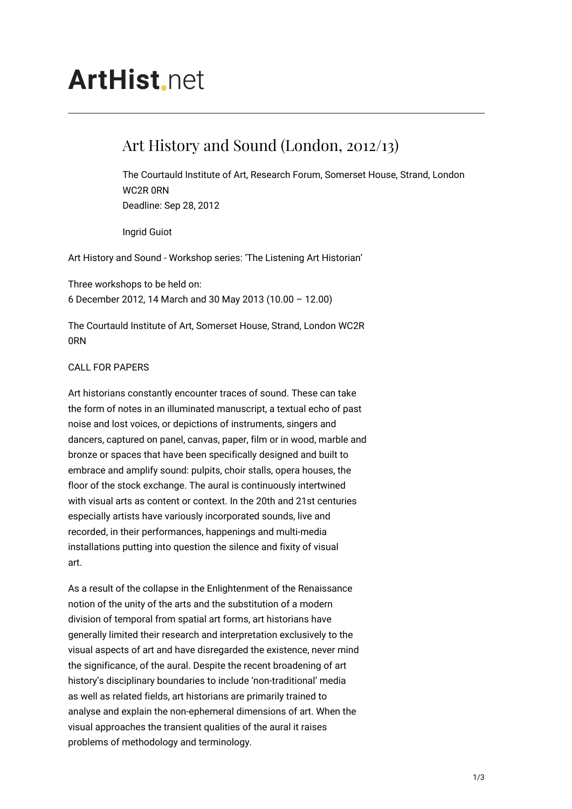# **ArtHist** net

## Art History and Sound (London, 2012/13)

The Courtauld Institute of Art, Research Forum, Somerset House, Strand, London WC2R 0RN Deadline: Sep 28, 2012

Ingrid Guiot

Art History and Sound - Workshop series: 'The Listening Art Historian'

Three workshops to be held on: 6 December 2012, 14 March and 30 May 2013 (10.00 – 12.00)

The Courtauld Institute of Art, Somerset House, Strand, London WC2R 0RN

#### CALL FOR PAPERS

Art historians constantly encounter traces of sound. These can take the form of notes in an illuminated manuscript, a textual echo of past noise and lost voices, or depictions of instruments, singers and dancers, captured on panel, canvas, paper, film or in wood, marble and bronze or spaces that have been specifically designed and built to embrace and amplify sound: pulpits, choir stalls, opera houses, the floor of the stock exchange. The aural is continuously intertwined with visual arts as content or context. In the 20th and 21st centuries especially artists have variously incorporated sounds, live and recorded, in their performances, happenings and multi-media installations putting into question the silence and fixity of visual art.

As a result of the collapse in the Enlightenment of the Renaissance notion of the unity of the arts and the substitution of a modern division of temporal from spatial art forms, art historians have generally limited their research and interpretation exclusively to the visual aspects of art and have disregarded the existence, never mind the significance, of the aural. Despite the recent broadening of art history's disciplinary boundaries to include 'non-traditional' media as well as related fields, art historians are primarily trained to analyse and explain the non-ephemeral dimensions of art. When the visual approaches the transient qualities of the aural it raises problems of methodology and terminology.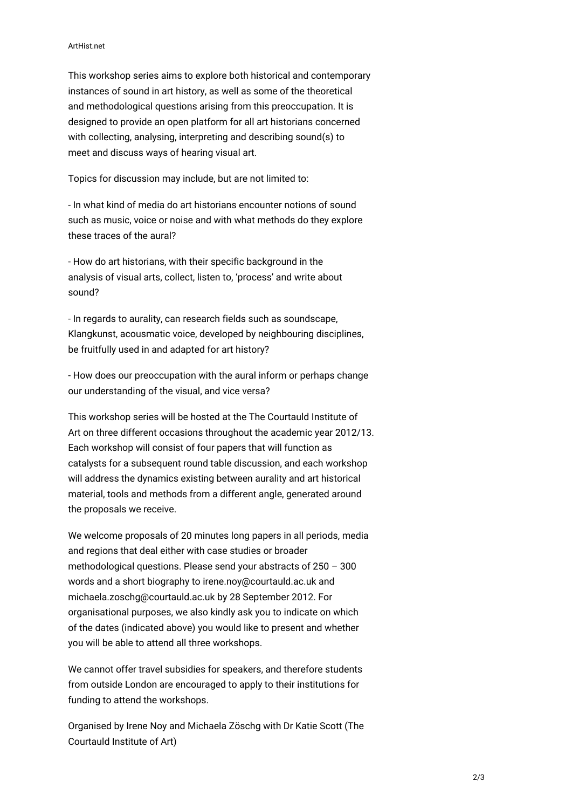#### ArtHist.net

This workshop series aims to explore both historical and contemporary instances of sound in art history, as well as some of the theoretical and methodological questions arising from this preoccupation. It is designed to provide an open platform for all art historians concerned with collecting, analysing, interpreting and describing sound(s) to meet and discuss ways of hearing visual art.

Topics for discussion may include, but are not limited to:

- In what kind of media do art historians encounter notions of sound such as music, voice or noise and with what methods do they explore these traces of the aural?

- How do art historians, with their specific background in the analysis of visual arts, collect, listen to, 'process' and write about sound?

- In regards to aurality, can research fields such as soundscape, Klangkunst, acousmatic voice, developed by neighbouring disciplines, be fruitfully used in and adapted for art history?

- How does our preoccupation with the aural inform or perhaps change our understanding of the visual, and vice versa?

This workshop series will be hosted at the The Courtauld Institute of Art on three different occasions throughout the academic year 2012/13. Each workshop will consist of four papers that will function as catalysts for a subsequent round table discussion, and each workshop will address the dynamics existing between aurality and art historical material, tools and methods from a different angle, generated around the proposals we receive.

We welcome proposals of 20 minutes long papers in all periods, media and regions that deal either with case studies or broader methodological questions. Please send your abstracts of 250 – 300 words and a short biography to irene.noy@courtauld.ac.uk and michaela.zoschg@courtauld.ac.uk by 28 September 2012. For organisational purposes, we also kindly ask you to indicate on which of the dates (indicated above) you would like to present and whether you will be able to attend all three workshops.

We cannot offer travel subsidies for speakers, and therefore students from outside London are encouraged to apply to their institutions for funding to attend the workshops.

Organised by Irene Noy and Michaela Zöschg with Dr Katie Scott (The Courtauld Institute of Art)